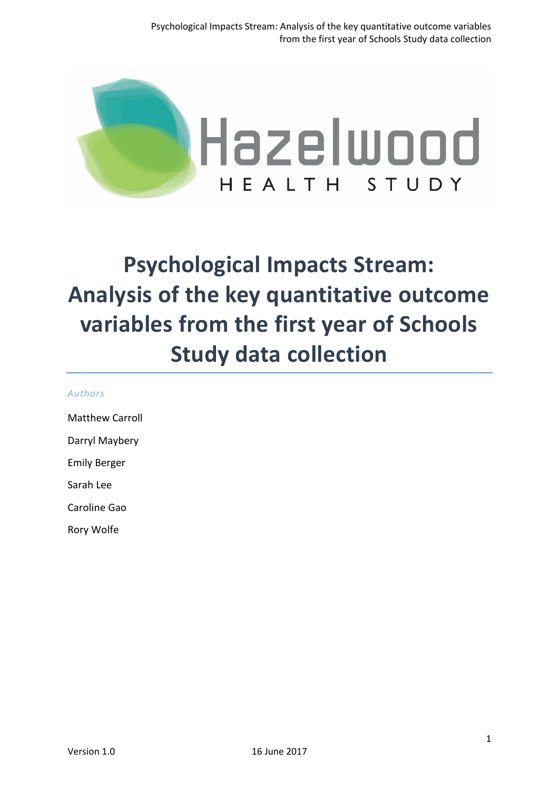

# **Psychological Impacts Stream: Analysis of the key quantitative outcome variables from the first year of Schools Study data collection**

#### *Authors*

Matthew Carroll

Darryl Maybery

Emily Berger

Sarah Lee

Caroline Gao

Rory Wolfe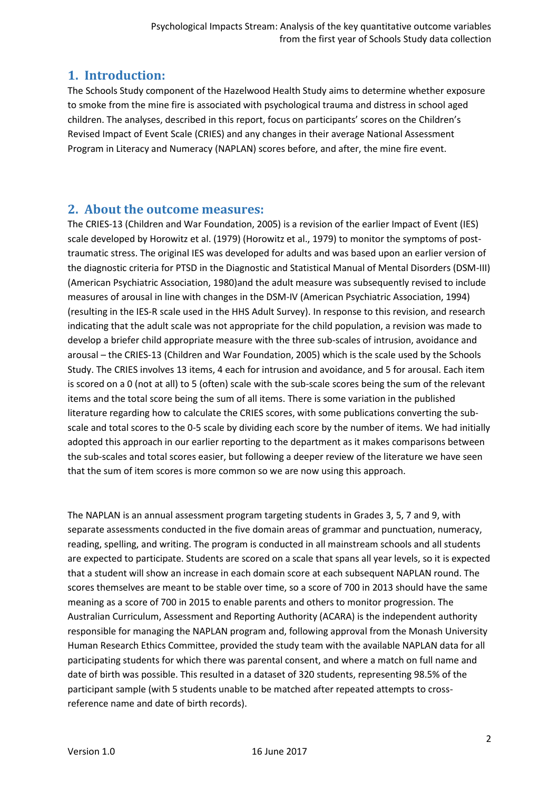# **1. Introduction:**

The Schools Study component of the Hazelwood Health Study aims to determine whether exposure to smoke from the mine fire is associated with psychological trauma and distress in school aged children. The analyses, described in this report, focus on participants' scores on the Children's Revised Impact of Event Scale (CRIES) and any changes in their average National Assessment Program in Literacy and Numeracy (NAPLAN) scores before, and after, the mine fire event.

## **2. About the outcome measures:**

The CRIES-13 (Children and War Foundation, 2005) is a revision of the earlier Impact of Event (IES) scale developed by Horowitz et al. (1979) (Horowitz et al., 1979) to monitor the symptoms of posttraumatic stress. The original IES was developed for adults and was based upon an earlier version of the diagnostic criteria for PTSD in the Diagnostic and Statistical Manual of Mental Disorders (DSM-III) (American Psychiatric Association, 1980)and the adult measure was subsequently revised to include measures of arousal in line with changes in the DSM-IV (American Psychiatric Association, 1994) (resulting in the IES-R scale used in the HHS Adult Survey). In response to this revision, and research indicating that the adult scale was not appropriate for the child population, a revision was made to develop a briefer child appropriate measure with the three sub-scales of intrusion, avoidance and arousal – the CRIES-13 (Children and War Foundation, 2005) which is the scale used by the Schools Study. The CRIES involves 13 items, 4 each for intrusion and avoidance, and 5 for arousal. Each item is scored on a 0 (not at all) to 5 (often) scale with the sub-scale scores being the sum of the relevant items and the total score being the sum of all items. There is some variation in the published literature regarding how to calculate the CRIES scores, with some publications converting the subscale and total scores to the 0-5 scale by dividing each score by the number of items. We had initially adopted this approach in our earlier reporting to the department as it makes comparisons between the sub-scales and total scores easier, but following a deeper review of the literature we have seen that the sum of item scores is more common so we are now using this approach.

The NAPLAN is an annual assessment program targeting students in Grades 3, 5, 7 and 9, with separate assessments conducted in the five domain areas of grammar and punctuation, numeracy, reading, spelling, and writing. The program is conducted in all mainstream schools and all students are expected to participate. Students are scored on a scale that spans all year levels, so it is expected that a student will show an increase in each domain score at each subsequent NAPLAN round. The scores themselves are meant to be stable over time, so a score of 700 in 2013 should have the same meaning as a score of 700 in 2015 to enable parents and others to monitor progression. The Australian Curriculum, Assessment and Reporting Authority (ACARA) is the independent authority responsible for managing the NAPLAN program and, following approval from the Monash University Human Research Ethics Committee, provided the study team with the available NAPLAN data for all participating students for which there was parental consent, and where a match on full name and date of birth was possible. This resulted in a dataset of 320 students, representing 98.5% of the participant sample (with 5 students unable to be matched after repeated attempts to crossreference name and date of birth records).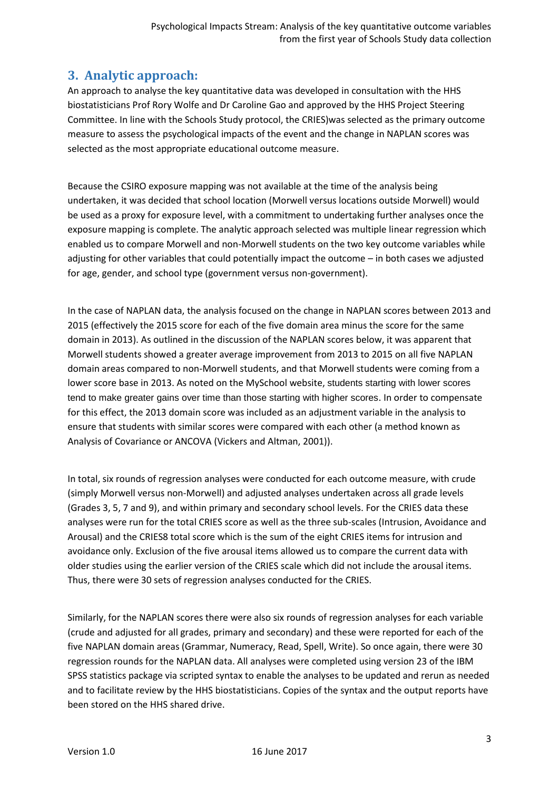# **3. Analytic approach:**

An approach to analyse the key quantitative data was developed in consultation with the HHS biostatisticians Prof Rory Wolfe and Dr Caroline Gao and approved by the HHS Project Steering Committee. In line with the Schools Study protocol, the CRIES)was selected as the primary outcome measure to assess the psychological impacts of the event and the change in NAPLAN scores was selected as the most appropriate educational outcome measure.

Because the CSIRO exposure mapping was not available at the time of the analysis being undertaken, it was decided that school location (Morwell versus locations outside Morwell) would be used as a proxy for exposure level, with a commitment to undertaking further analyses once the exposure mapping is complete. The analytic approach selected was multiple linear regression which enabled us to compare Morwell and non-Morwell students on the two key outcome variables while adjusting for other variables that could potentially impact the outcome – in both cases we adjusted for age, gender, and school type (government versus non-government).

In the case of NAPLAN data, the analysis focused on the change in NAPLAN scores between 2013 and 2015 (effectively the 2015 score for each of the five domain area minus the score for the same domain in 2013). As outlined in the discussion of the NAPLAN scores below, it was apparent that Morwell students showed a greater average improvement from 2013 to 2015 on all five NAPLAN domain areas compared to non-Morwell students, and that Morwell students were coming from a lower score base in 2013. As noted on the MySchool website, students starting with lower scores tend to make greater gains over time than those starting with higher scores. In order to compensate for this effect, the 2013 domain score was included as an adjustment variable in the analysis to ensure that students with similar scores were compared with each other (a method known as Analysis of Covariance or ANCOVA (Vickers and Altman, 2001)).

In total, six rounds of regression analyses were conducted for each outcome measure, with crude (simply Morwell versus non-Morwell) and adjusted analyses undertaken across all grade levels (Grades 3, 5, 7 and 9), and within primary and secondary school levels. For the CRIES data these analyses were run for the total CRIES score as well as the three sub-scales (Intrusion, Avoidance and Arousal) and the CRIES8 total score which is the sum of the eight CRIES items for intrusion and avoidance only. Exclusion of the five arousal items allowed us to compare the current data with older studies using the earlier version of the CRIES scale which did not include the arousal items. Thus, there were 30 sets of regression analyses conducted for the CRIES.

Similarly, for the NAPLAN scores there were also six rounds of regression analyses for each variable (crude and adjusted for all grades, primary and secondary) and these were reported for each of the five NAPLAN domain areas (Grammar, Numeracy, Read, Spell, Write). So once again, there were 30 regression rounds for the NAPLAN data. All analyses were completed using version 23 of the IBM SPSS statistics package via scripted syntax to enable the analyses to be updated and rerun as needed and to facilitate review by the HHS biostatisticians. Copies of the syntax and the output reports have been stored on the HHS shared drive.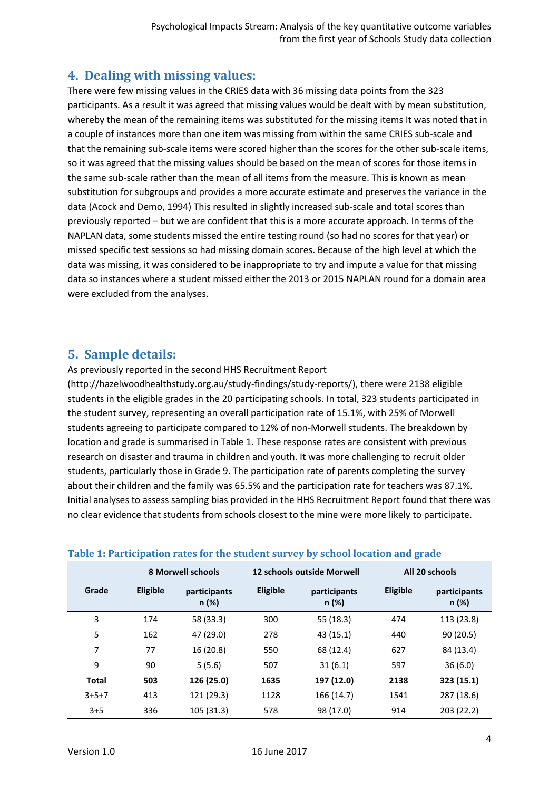# **4. Dealing with missing values:**

There were few missing values in the CRIES data with 36 missing data points from the 323 participants. As a result it was agreed that missing values would be dealt with by mean substitution, whereby the mean of the remaining items was substituted for the missing items It was noted that in a couple of instances more than one item was missing from within the same CRIES sub-scale and that the remaining sub-scale items were scored higher than the scores for the other sub-scale items, so it was agreed that the missing values should be based on the mean of scores for those items in the same sub-scale rather than the mean of all items from the measure. This is known as mean substitution for subgroups and provides a more accurate estimate and preserves the variance in the data (Acock and Demo, 1994) This resulted in slightly increased sub-scale and total scores than previously reported – but we are confident that this is a more accurate approach. In terms of the NAPLAN data, some students missed the entire testing round (so had no scores for that year) or missed specific test sessions so had missing domain scores. Because of the high level at which the data was missing, it was considered to be inappropriate to try and impute a value for that missing data so instances where a student missed either the 2013 or 2015 NAPLAN round for a domain area were excluded from the analyses.

# **5. Sample details:**

As previously reported in the second HHS Recruitment Report

(http://hazelwoodhealthstudy.org.au/study-findings/study-reports/), there were 2138 eligible students in the eligible grades in the 20 participating schools. In total, 323 students participated in the student survey, representing an overall participation rate of 15.1%, with 25% of Morwell students agreeing to participate compared to 12% of non-Morwell students. The breakdown by location and grade is summarised in Table 1. These response rates are consistent with previous research on disaster and trauma in children and youth. It was more challenging to recruit older students, particularly those in Grade 9. The participation rate of parents completing the survey about their children and the family was 65.5% and the participation rate for teachers was 87.1%. Initial analyses to assess sampling bias provided in the HHS Recruitment Report found that there was no clear evidence that students from schools closest to the mine were more likely to participate.

|              | <b>8 Morwell schools</b> |                       |          | <b>12 schools outside Morwell</b> | All 20 schools |                       |
|--------------|--------------------------|-----------------------|----------|-----------------------------------|----------------|-----------------------|
| Grade        | Eligible                 | participants<br>n (%) | Eligible | participants<br>n (%)             | Eligible       | participants<br>n (%) |
| 3            | 174                      | 58 (33.3)             | 300      | 55 (18.3)                         | 474            | 113 (23.8)            |
| 5            | 162                      | 47 (29.0)             | 278      | 43 (15.1)                         | 440            | 90(20.5)              |
| 7            | 77                       | 16(20.8)              | 550      | 68 (12.4)                         | 627            | 84 (13.4)             |
| 9            | 90                       | 5(5.6)                | 507      | 31(6.1)                           | 597            | 36(6.0)               |
| <b>Total</b> | 503                      | 126 (25.0)            | 1635     | 197 (12.0)                        | 2138           | 323 (15.1)            |
| $3+5+7$      | 413                      | 121 (29.3)            | 1128     | 166 (14.7)                        | 1541           | 287 (18.6)            |
| $3 + 5$      | 336                      | 105(31.3)             | 578      | 98 (17.0)                         | 914            | 203 (22.2)            |

## **Table 1: Participation rates for the student survey by school location and grade**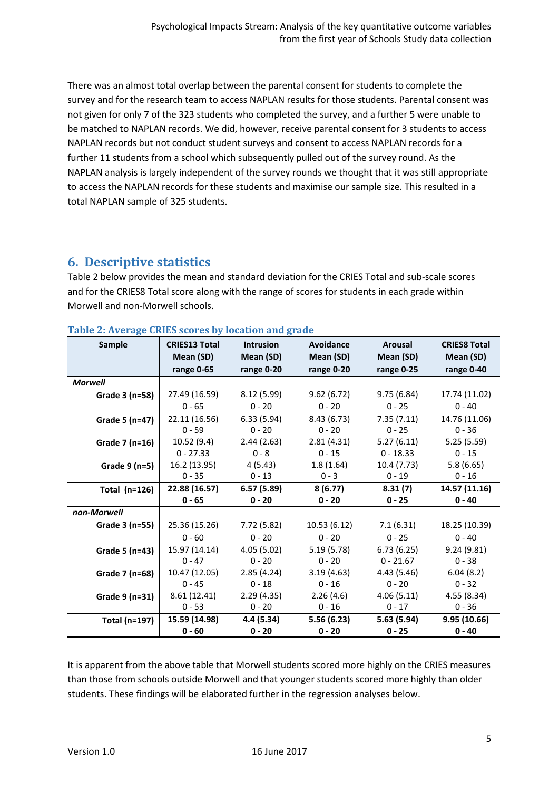There was an almost total overlap between the parental consent for students to complete the survey and for the research team to access NAPLAN results for those students. Parental consent was not given for only 7 of the 323 students who completed the survey, and a further 5 were unable to be matched to NAPLAN records. We did, however, receive parental consent for 3 students to access NAPLAN records but not conduct student surveys and consent to access NAPLAN records for a further 11 students from a school which subsequently pulled out of the survey round. As the NAPLAN analysis is largely independent of the survey rounds we thought that it was still appropriate to access the NAPLAN records for these students and maximise our sample size. This resulted in a total NAPLAN sample of 325 students.

## **6. Descriptive statistics**

Table 2 below provides the mean and standard deviation for the CRIES Total and sub-scale scores and for the CRIES8 Total score along with the range of scores for students in each grade within Morwell and non-Morwell schools.

| <b>Sample</b>        | <b>CRIES13 Total</b> | <b>Intrusion</b> | Avoidance   | <b>Arousal</b> | <b>CRIES8 Total</b> |
|----------------------|----------------------|------------------|-------------|----------------|---------------------|
|                      | Mean (SD)            | Mean (SD)        | Mean (SD)   | Mean (SD)      | Mean (SD)           |
|                      | range 0-65           | range 0-20       | range 0-20  | range 0-25     | range 0-40          |
| <b>Morwell</b>       |                      |                  |             |                |                     |
| Grade 3 (n=58)       | 27.49 (16.59)        | 8.12(5.99)       | 9.62(6.72)  | 9.75(6.84)     | 17.74 (11.02)       |
|                      | $0 - 65$             | $0 - 20$         | $0 - 20$    | $0 - 25$       | $0 - 40$            |
| Grade 5 (n=47)       | 22.11 (16.56)        | 6.33(5.94)       | 8.43(6.73)  | 7.35(7.11)     | 14.76 (11.06)       |
|                      | $0 - 59$             | $0 - 20$         | $0 - 20$    | $0 - 25$       | $0 - 36$            |
| Grade 7 (n=16)       | 10.52(9.4)           | 2.44(2.63)       | 2.81(4.31)  | 5.27(6.11)     | 5.25(5.59)          |
|                      | $0 - 27.33$          | $0 - 8$          | $0 - 15$    | $0 - 18.33$    | $0 - 15$            |
| Grade $9$ (n=5)      | 16.2 (13.95)         | 4(5.43)          | 1.8(1.64)   | 10.4(7.73)     | 5.8(6.65)           |
|                      | $0 - 35$             | $0 - 13$         | $0 - 3$     | $0 - 19$       | $0 - 16$            |
| Total $(n=126)$      | 22.88 (16.57)        | 6.57(5.89)       | 8(6.77)     | 8.31(7)        | 14.57 (11.16)       |
|                      | $0 - 65$             | $0 - 20$         | $0 - 20$    | $0 - 25$       | $0 - 40$            |
| non-Morwell          |                      |                  |             |                |                     |
| Grade 3 (n=55)       | 25.36 (15.26)        | 7.72 (5.82)      | 10.53(6.12) | 7.1(6.31)      | 18.25 (10.39)       |
|                      | $0 - 60$             | $0 - 20$         | $0 - 20$    | $0 - 25$       | $0 - 40$            |
| Grade 5 (n=43)       | 15.97 (14.14)        | 4.05(5.02)       | 5.19(5.78)  | 6.73(6.25)     | 9.24(9.81)          |
|                      | $0 - 47$             | $0 - 20$         | $0 - 20$    | $0 - 21.67$    | $0 - 38$            |
| Grade 7 (n=68)       | 10.47 (12.05)        | 2.85(4.24)       | 3.19(4.63)  | 4.43(5.46)     | 6.04(8.2)           |
|                      | $0 - 45$             | $0 - 18$         | $0 - 16$    | $0 - 20$       | $0 - 32$            |
| Grade 9 (n=31)       | 8.61(12.41)          | 2.29(4.35)       | 2.26(4.6)   | 4.06(5.11)     | 4.55(8.34)          |
|                      | $0 - 53$             | $0 - 20$         | $0 - 16$    | $0 - 17$       | $0 - 36$            |
| <b>Total (n=197)</b> | 15.59 (14.98)        | 4.4 (5.34)       | 5.56(6.23)  | 5.63 (5.94)    | 9.95 (10.66)        |
|                      | $0 - 60$             | $0 - 20$         | $0 - 20$    | $0 - 25$       | $0 - 40$            |

|  |  |  | Table 2: Average CRIES scores by location and grade |  |
|--|--|--|-----------------------------------------------------|--|

It is apparent from the above table that Morwell students scored more highly on the CRIES measures than those from schools outside Morwell and that younger students scored more highly than older students. These findings will be elaborated further in the regression analyses below.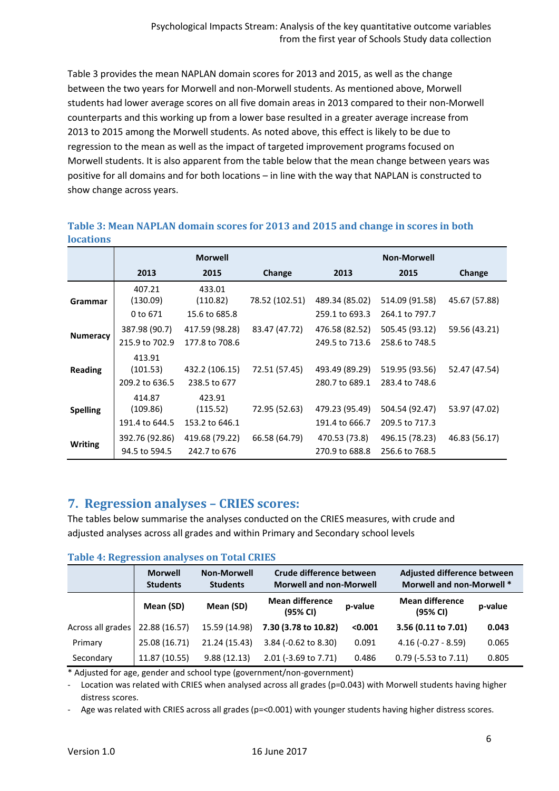Table 3 provides the mean NAPLAN domain scores for 2013 and 2015, as well as the change between the two years for Morwell and non-Morwell students. As mentioned above, Morwell students had lower average scores on all five domain areas in 2013 compared to their non-Morwell counterparts and this working up from a lower base resulted in a greater average increase from 2013 to 2015 among the Morwell students. As noted above, this effect is likely to be due to regression to the mean as well as the impact of targeted improvement programs focused on Morwell students. It is also apparent from the table below that the mean change between years was positive for all domains and for both locations – in line with the way that NAPLAN is constructed to show change across years.

|                 |                                      | <b>Morwell</b>                       |                |                                  | <b>Non-Morwell</b>               |               |
|-----------------|--------------------------------------|--------------------------------------|----------------|----------------------------------|----------------------------------|---------------|
|                 | 2013                                 | 2015                                 | Change         | 2013                             | 2015                             | Change        |
| Grammar         | 407.21<br>(130.09)<br>0 to 671       | 433.01<br>(110.82)<br>15.6 to 685.8  | 78.52 (102.51) | 489.34 (85.02)<br>259.1 to 693.3 | 514.09 (91.58)<br>264.1 to 797.7 | 45.67 (57.88) |
| <b>Numeracy</b> | 387.98 (90.7)<br>215.9 to 702.9      | 417.59 (98.28)<br>177.8 to 708.6     | 83.47 (47.72)  | 476.58 (82.52)<br>249.5 to 713.6 | 505.45 (93.12)<br>258.6 to 748.5 | 59.56 (43.21) |
| <b>Reading</b>  | 413.91<br>(101.53)<br>209.2 to 636.5 | 432.2 (106.15)<br>238.5 to 677       | 72.51 (57.45)  | 493.49 (89.29)<br>280.7 to 689.1 | 519.95 (93.56)<br>283.4 to 748.6 | 52.47 (47.54) |
| <b>Spelling</b> | 414.87<br>(109.86)<br>191.4 to 644.5 | 423.91<br>(115.52)<br>153.2 to 646.1 | 72.95 (52.63)  | 479.23 (95.49)<br>191.4 to 666.7 | 504.54 (92.47)<br>209.5 to 717.3 | 53.97 (47.02) |
| <b>Writing</b>  | 392.76 (92.86)<br>94.5 to 594.5      | 419.68 (79.22)<br>242.7 to 676       | 66.58 (64.79)  | 470.53 (73.8)<br>270.9 to 688.8  | 496.15 (78.23)<br>256.6 to 768.5 | 46.83 (56.17) |

#### **Table 3: Mean NAPLAN domain scores for 2013 and 2015 and change in scores in both locations**

# **7. Regression analyses – CRIES scores:**

The tables below summarise the analyses conducted on the CRIES measures, with crude and adjusted analyses across all grades and within Primary and Secondary school levels

|                   | <b>Morwell</b><br><b>Students</b> | <b>Non-Morwell</b><br><b>Students</b> | Crude difference between<br><b>Morwell and non-Morwell</b> |         | Adjusted difference between<br><b>Morwell and non-Morwell *</b> |         |
|-------------------|-----------------------------------|---------------------------------------|------------------------------------------------------------|---------|-----------------------------------------------------------------|---------|
|                   | Mean (SD)                         | Mean (SD)                             | <b>Mean difference</b><br>(95% CI)                         | p-value | <b>Mean difference</b><br>(95% CI)                              | p-value |
| Across all grades | 22.88 (16.57)                     | 15.59 (14.98)                         | 7.30 (3.78 to 10.82)                                       | < 0.001 | 3.56 (0.11 to 7.01)                                             | 0.043   |
| Primary           | 25.08 (16.71)                     | 21.24 (15.43)                         | 3.84 (-0.62 to 8.30)                                       | 0.091   | $4.16(-0.27 - 8.59)$                                            | 0.065   |
| Secondary         | 11.87 (10.55)                     | 9.88(12.13)                           | 2.01 (-3.69 to 7.71)                                       | 0.486   | $0.79$ (-5.53 to 7.11)                                          | 0.805   |

## **Table 4: Regression analyses on Total CRIES**

\* Adjusted for age, gender and school type (government/non-government)

Location was related with CRIES when analysed across all grades (p=0.043) with Morwell students having higher distress scores.

- Age was related with CRIES across all grades (p=<0.001) with younger students having higher distress scores.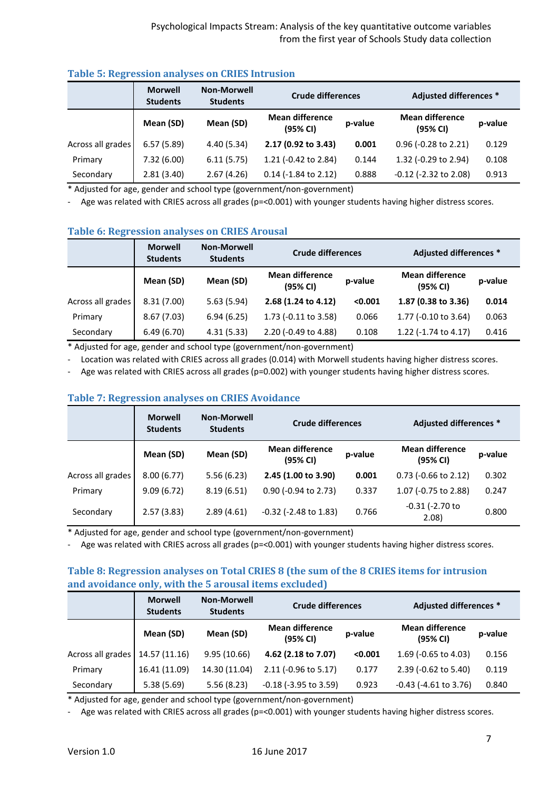|                   | <b>Morwell</b><br><b>Students</b> | <b>Non-Morwell</b><br><b>Students</b> | <b>Crude differences</b>           |         | Adjusted differences *             |         |
|-------------------|-----------------------------------|---------------------------------------|------------------------------------|---------|------------------------------------|---------|
|                   | Mean (SD)                         | Mean (SD)                             | <b>Mean difference</b><br>(95% CI) | p-value | <b>Mean difference</b><br>(95% CI) | p-value |
| Across all grades | 6.57(5.89)                        | 4.40(5.34)                            | 2.17 (0.92 to 3.43)                | 0.001   | 0.96 (-0.28 to 2.21)               | 0.129   |
| Primary           | 7.32(6.00)                        | 6.11(5.75)                            | 1.21 ( $-0.42$ to 2.84)            | 0.144   | 1.32 (-0.29 to 2.94)               | 0.108   |
| Secondary         | 2.81(3.40)                        | 2.67(4.26)                            | $0.14$ (-1.84 to 2.12)             | 0.888   | $-0.12$ ( $-2.32$ to 2.08)         | 0.913   |

### **Table 5: Regression analyses on CRIES Intrusion**

\* Adjusted for age, gender and school type (government/non-government)

- Age was related with CRIES across all grades (p=<0.001) with younger students having higher distress scores.

| Tuble of hell cooled undivided on child in ought |                                   |                                       |                                                    |         |                                    |         |  |  |
|--------------------------------------------------|-----------------------------------|---------------------------------------|----------------------------------------------------|---------|------------------------------------|---------|--|--|
|                                                  | <b>Morwell</b><br><b>Students</b> | <b>Non-Morwell</b><br><b>Students</b> | Adjusted differences *<br><b>Crude differences</b> |         |                                    |         |  |  |
|                                                  | Mean (SD)                         | Mean (SD)                             | <b>Mean difference</b><br>(95% CI)                 | p-value | <b>Mean difference</b><br>(95% CI) | p-value |  |  |
| Across all grades                                | 8.31(7.00)                        | 5.63(5.94)                            | 2.68 (1.24 to 4.12)                                | < 0.001 | 1.87 (0.38 to 3.36)                | 0.014   |  |  |
| Primary                                          | 8.67(7.03)                        | 6.94(6.25)                            | 1.73 (-0.11 to 3.58)                               | 0.066   | 1.77 (-0.10 to 3.64)               | 0.063   |  |  |
| Secondary                                        | 6.49(6.70)                        | 4.31(5.33)                            | 2.20 (-0.49 to 4.88)                               | 0.108   | 1.22 (-1.74 to 4.17)               | 0.416   |  |  |

## **Table 6: Regression analyses on CRIES Arousal**

\* Adjusted for age, gender and school type (government/non-government)

- Location was related with CRIES across all grades (0.014) with Morwell students having higher distress scores.

- Age was related with CRIES across all grades (p=0.002) with younger students having higher distress scores.

#### **Table 7: Regression analyses on CRIES Avoidance**

|                   | <b>Morwell</b><br><b>Students</b> | <b>Non-Morwell</b><br><b>Students</b> | <b>Crude differences</b>           |         | Adjusted differences *             |         |
|-------------------|-----------------------------------|---------------------------------------|------------------------------------|---------|------------------------------------|---------|
|                   | Mean (SD)                         | Mean (SD)                             | <b>Mean difference</b><br>(95% CI) | p-value | <b>Mean difference</b><br>(95% CI) | p-value |
| Across all grades | 8.00(6.77)                        | 5.56(6.23)                            | 2.45 (1.00 to 3.90)                | 0.001   | $0.73$ (-0.66 to 2.12)             | 0.302   |
| Primary           | 9.09(6.72)                        | 8.19(6.51)                            | $0.90$ (-0.94 to 2.73)             | 0.337   | 1.07 (-0.75 to 2.88)               | 0.247   |
| Secondary         | 2.57(3.83)                        | 2.89(4.61)                            | $-0.32$ ( $-2.48$ to 1.83)         | 0.766   | $-0.31$ ( $-2.70$ to<br>2.08)      | 0.800   |

\* Adjusted for age, gender and school type (government/non-government)

- Age was related with CRIES across all grades (p=<0.001) with younger students having higher distress scores.

## **Table 8: Regression analyses on Total CRIES 8 (the sum of the 8 CRIES items for intrusion and avoidance only, with the 5 arousal items excluded)**

|                   | <b>Morwell</b><br><b>Students</b> | <b>Non-Morwell</b><br><b>Students</b> | <b>Crude differences</b>           |         | <b>Adjusted differences *</b>      |         |
|-------------------|-----------------------------------|---------------------------------------|------------------------------------|---------|------------------------------------|---------|
|                   | Mean (SD)                         | Mean (SD)                             | <b>Mean difference</b><br>(95% CI) | p-value | <b>Mean difference</b><br>(95% CI) | p-value |
| Across all grades | 14.57 (11.16)                     | 9.95(10.66)                           | 4.62 (2.18 to 7.07)                | < 0.001 | 1.69 (-0.65 to 4.03)               | 0.156   |
| Primary           | 16.41 (11.09)                     | 14.30 (11.04)                         | $2.11$ (-0.96 to 5.17)             | 0.177   | 2.39 (-0.62 to 5.40)               | 0.119   |
| Secondary         | 5.38(5.69)                        | 5.56(8.23)                            | $-0.18$ ( $-3.95$ to 3.59)         | 0.923   | $-0.43$ ( $-4.61$ to 3.76)         | 0.840   |

\* Adjusted for age, gender and school type (government/non-government)

- Age was related with CRIES across all grades (p=<0.001) with younger students having higher distress scores.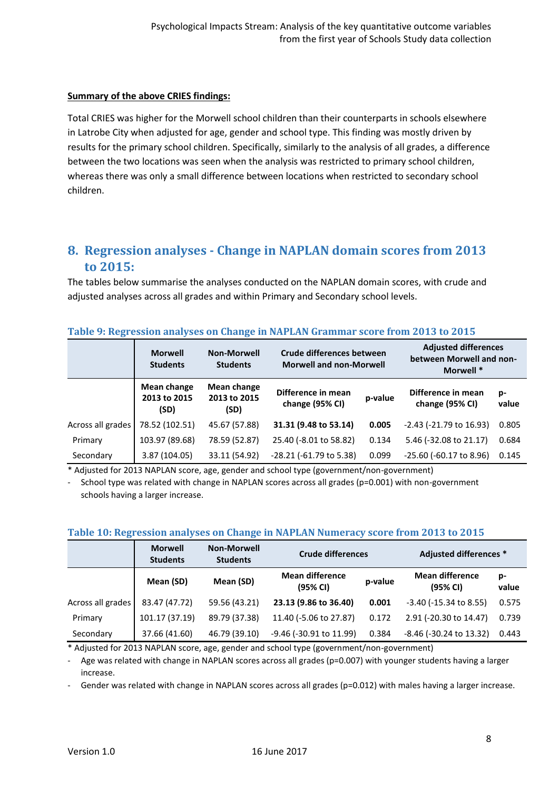#### **Summary of the above CRIES findings:**

Total CRIES was higher for the Morwell school children than their counterparts in schools elsewhere in Latrobe City when adjusted for age, gender and school type. This finding was mostly driven by results for the primary school children. Specifically, similarly to the analysis of all grades, a difference between the two locations was seen when the analysis was restricted to primary school children, whereas there was only a small difference between locations when restricted to secondary school children.

# **8. Regression analyses - Change in NAPLAN domain scores from 2013 to 2015:**

The tables below summarise the analyses conducted on the NAPLAN domain scores, with crude and adjusted analyses across all grades and within Primary and Secondary school levels.

|                   | <b>Morwell</b><br><b>Students</b>          | <b>Non-Morwell</b><br><b>Students</b> | Crude differences between<br><b>Morwell and non-Morwell</b> |         | <b>Adjusted differences</b><br>between Morwell and non-<br>Morwell * |             |
|-------------------|--------------------------------------------|---------------------------------------|-------------------------------------------------------------|---------|----------------------------------------------------------------------|-------------|
|                   | <b>Mean change</b><br>2013 to 2015<br>(SD) | Mean change<br>2013 to 2015<br>(SD)   | Difference in mean<br>change (95% CI)                       | p-value | Difference in mean<br>change (95% CI)                                | p-<br>value |
| Across all grades | 78.52 (102.51)                             | 45.67 (57.88)                         | 31.31 (9.48 to 53.14)                                       | 0.005   | $-2.43$ ( $-21.79$ to 16.93)                                         | 0.805       |
| Primary           | 103.97 (89.68)                             | 78.59 (52.87)                         | 25.40 (-8.01 to 58.82)                                      | 0.134   | 5.46 (-32.08 to 21.17)                                               | 0.684       |
| Secondary         | 3.87 (104.05)                              | 33.11 (54.92)                         | $-28.21$ ( $-61.79$ to 5.38)                                | 0.099   | $-25.60$ ( $-60.17$ to 8.96)                                         | 0.145       |

#### **Table 9: Regression analyses on Change in NAPLAN Grammar score from 2013 to 2015**

\* Adjusted for 2013 NAPLAN score, age, gender and school type (government/non-government)

School type was related with change in NAPLAN scores across all grades (p=0.001) with non-government schools having a larger increase.

|                   | <b>Morwell</b><br><b>Students</b> | <b>Non-Morwell</b><br><b>Students</b> | <b>Crude differences</b>           |         | Adjusted differences *             |             |  |
|-------------------|-----------------------------------|---------------------------------------|------------------------------------|---------|------------------------------------|-------------|--|
|                   | Mean (SD)                         | Mean (SD)                             | <b>Mean difference</b><br>(95% CI) | p-value | <b>Mean difference</b><br>(95% CI) | p-<br>value |  |
| Across all grades | 83.47 (47.72)                     | 59.56 (43.21)                         | 23.13 (9.86 to 36.40)              | 0.001   | $-3.40$ ( $-15.34$ to 8.55)        | 0.575       |  |
| Primary           | 101.17 (37.19)                    | 89.79 (37.38)                         | 11.40 (-5.06 to 27.87)             | 0.172   | 2.91 (-20.30 to 14.47)             | 0.739       |  |
| Secondary         | 37.66 (41.60)                     | 46.79 (39.10)                         | -9.46 (-30.91 to 11.99)            | 0.384   | $-8.46$ ( $-30.24$ to 13.32)       | 0.443       |  |

## **Table 10: Regression analyses on Change in NAPLAN Numeracy score from 2013 to 2015**

\* Adjusted for 2013 NAPLAN score, age, gender and school type (government/non-government)

Age was related with change in NAPLAN scores across all grades (p=0.007) with younger students having a larger increase.

Gender was related with change in NAPLAN scores across all grades ( $p=0.012$ ) with males having a larger increase.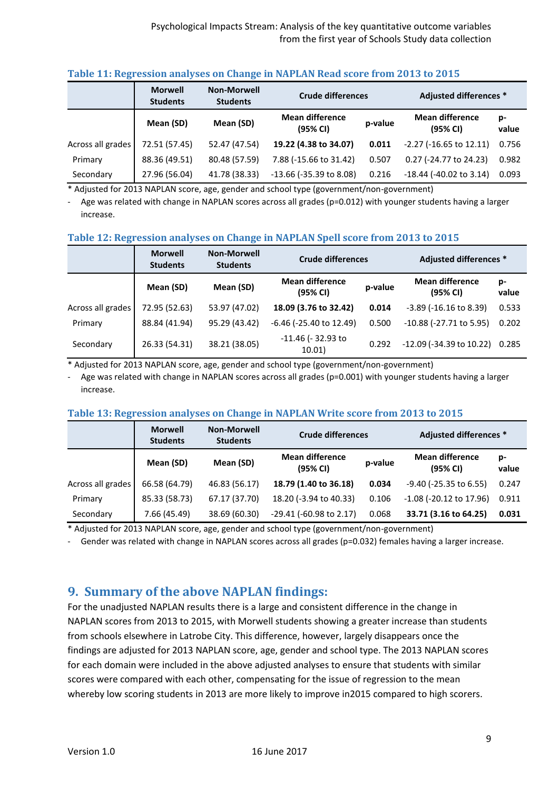|                   | <b>Morwell</b><br><b>Students</b> | <b>Non-Morwell</b><br><b>Students</b> | <b>Crude differences</b>           |         | Adjusted differences *             |             |  |
|-------------------|-----------------------------------|---------------------------------------|------------------------------------|---------|------------------------------------|-------------|--|
|                   | Mean (SD)                         | Mean (SD)                             | <b>Mean difference</b><br>(95% CI) | p-value | <b>Mean difference</b><br>(95% CI) | p-<br>value |  |
| Across all grades | 72.51 (57.45)                     | 52.47 (47.54)                         | 19.22 (4.38 to 34.07)              | 0.011   | $-2.27$ ( $-16.65$ to 12.11)       | 0.756       |  |
| Primary           | 88.36 (49.51)                     | 80.48 (57.59)                         | 7.88 (-15.66 to 31.42)             | 0.507   | 0.27 (-24.77 to 24.23)             | 0.982       |  |
| Secondary         | 27.96 (56.04)                     | 41.78 (38.33)                         | $-13.66$ ( $-35.39$ to 8.08)       | 0.216   | $-18.44$ ( $-40.02$ to 3.14)       | 0.093       |  |

#### **Table 11: Regression analyses on Change in NAPLAN Read score from 2013 to 2015**

\* Adjusted for 2013 NAPLAN score, age, gender and school type (government/non-government)

- Age was related with change in NAPLAN scores across all grades (p=0.012) with younger students having a larger increase.

#### **Table 12: Regression analyses on Change in NAPLAN Spell score from 2013 to 2015**

|                   | <b>Morwell</b><br><b>Students</b> | <b>Non-Morwell</b><br><b>Students</b> | <b>Crude differences</b>           |         | Adjusted differences *             |             |
|-------------------|-----------------------------------|---------------------------------------|------------------------------------|---------|------------------------------------|-------------|
|                   | Mean (SD)                         | Mean (SD)                             | <b>Mean difference</b><br>(95% CI) | p-value | <b>Mean difference</b><br>(95% CI) | p-<br>value |
| Across all grades | 72.95 (52.63)                     | 53.97 (47.02)                         | 18.09 (3.76 to 32.42)              | 0.014   | $-3.89$ ( $-16.16$ to 8.39)        | 0.533       |
| Primary           | 88.84 (41.94)                     | 95.29 (43.42)                         | $-6.46$ ( $-25.40$ to 12.49)       | 0.500   | -10.88 (-27.71 to 5.95)            | 0.202       |
| Secondary         | 26.33 (54.31)                     | 38.21 (38.05)                         | -11.46 (-32.93 to<br>10.01)        | 0.292   | $-12.09$ ( $-34.39$ to $10.22$ )   | 0.285       |

\* Adjusted for 2013 NAPLAN score, age, gender and school type (government/non-government)

Age was related with change in NAPLAN scores across all grades (p=0.001) with younger students having a larger increase.

## **Table 13: Regression analyses on Change in NAPLAN Write score from 2013 to 2015**

|                   | <b>Morwell</b><br><b>Students</b> | <b>Non-Morwell</b><br><b>Students</b> | <b>Crude differences</b>           |         | <b>Adjusted differences *</b>      |             |
|-------------------|-----------------------------------|---------------------------------------|------------------------------------|---------|------------------------------------|-------------|
|                   | Mean (SD)                         | Mean (SD)                             | <b>Mean difference</b><br>(95% CI) | p-value | <b>Mean difference</b><br>(95% CI) | p-<br>value |
| Across all grades | 66.58 (64.79)                     | 46.83 (56.17)                         | 18.79 (1.40 to 36.18)              | 0.034   | $-9.40$ ( $-25.35$ to 6.55)        | 0.247       |
| Primary           | 85.33 (58.73)                     | 67.17 (37.70)                         | 18.20 (-3.94 to 40.33)             | 0.106   | $-1.08$ ( $-20.12$ to 17.96)       | 0.911       |
| Secondary         | 7.66 (45.49)                      | 38.69 (60.30)                         | $-29.41$ ( $-60.98$ to 2.17)       | 0.068   | 33.71 (3.16 to 64.25)              | 0.031       |

\* Adjusted for 2013 NAPLAN score, age, gender and school type (government/non-government)

- Gender was related with change in NAPLAN scores across all grades (p=0.032) females having a larger increase.

## **9. Summary of the above NAPLAN findings:**

For the unadjusted NAPLAN results there is a large and consistent difference in the change in NAPLAN scores from 2013 to 2015, with Morwell students showing a greater increase than students from schools elsewhere in Latrobe City. This difference, however, largely disappears once the findings are adjusted for 2013 NAPLAN score, age, gender and school type. The 2013 NAPLAN scores for each domain were included in the above adjusted analyses to ensure that students with similar scores were compared with each other, compensating for the issue of regression to the mean whereby low scoring students in 2013 are more likely to improve in2015 compared to high scorers.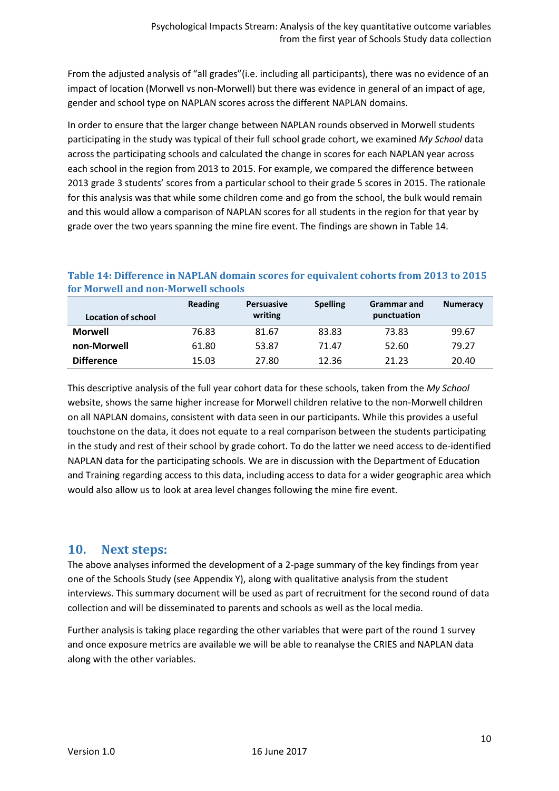From the adjusted analysis of "all grades"(i.e. including all participants), there was no evidence of an impact of location (Morwell vs non-Morwell) but there was evidence in general of an impact of age, gender and school type on NAPLAN scores across the different NAPLAN domains.

In order to ensure that the larger change between NAPLAN rounds observed in Morwell students participating in the study was typical of their full school grade cohort, we examined *My School* data across the participating schools and calculated the change in scores for each NAPLAN year across each school in the region from 2013 to 2015. For example, we compared the difference between 2013 grade 3 students' scores from a particular school to their grade 5 scores in 2015. The rationale for this analysis was that while some children come and go from the school, the bulk would remain and this would allow a comparison of NAPLAN scores for all students in the region for that year by grade over the two years spanning the mine fire event. The findings are shown in Table 14.

## **Table 14: Difference in NAPLAN domain scores for equivalent cohorts from 2013 to 2015 for Morwell and non-Morwell schools**

|                           | <b>Reading</b> | <b>Persuasive</b> | <b>Spelling</b> | <b>Grammar</b> and | <b>Numeracy</b> |
|---------------------------|----------------|-------------------|-----------------|--------------------|-----------------|
| <b>Location of school</b> |                | writing           |                 | punctuation        |                 |
| <b>Morwell</b>            | 76.83          | 81.67             | 83.83           | 73.83              | 99.67           |
| non-Morwell               | 61.80          | 53.87             | 71.47           | 52.60              | 79.27           |
| <b>Difference</b>         | 15.03          | 27.80             | 12.36           | 21.23              | 20.40           |

This descriptive analysis of the full year cohort data for these schools, taken from the *My School* website, shows the same higher increase for Morwell children relative to the non-Morwell children on all NAPLAN domains, consistent with data seen in our participants. While this provides a useful touchstone on the data, it does not equate to a real comparison between the students participating in the study and rest of their school by grade cohort. To do the latter we need access to de-identified NAPLAN data for the participating schools. We are in discussion with the Department of Education and Training regarding access to this data, including access to data for a wider geographic area which would also allow us to look at area level changes following the mine fire event.

## **10. Next steps:**

The above analyses informed the development of a 2-page summary of the key findings from year one of the Schools Study (see Appendix Y), along with qualitative analysis from the student interviews. This summary document will be used as part of recruitment for the second round of data collection and will be disseminated to parents and schools as well as the local media.

Further analysis is taking place regarding the other variables that were part of the round 1 survey and once exposure metrics are available we will be able to reanalyse the CRIES and NAPLAN data along with the other variables.